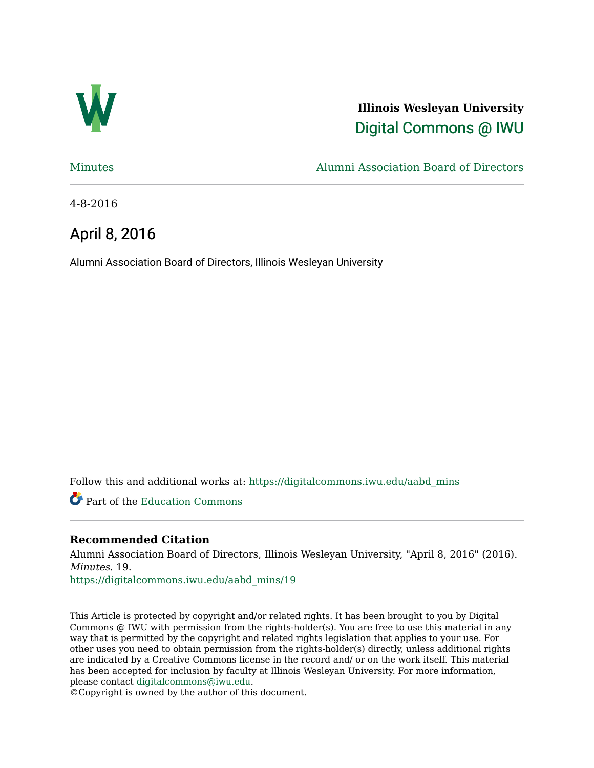

**Illinois Wesleyan University**  [Digital Commons @ IWU](https://digitalcommons.iwu.edu/) 

[Minutes](https://digitalcommons.iwu.edu/aabd_mins) [Alumni Association Board of Directors](https://digitalcommons.iwu.edu/alumni_aabd) 

4-8-2016

# April 8, 2016

Alumni Association Board of Directors, Illinois Wesleyan University

Follow this and additional works at: [https://digitalcommons.iwu.edu/aabd\\_mins](https://digitalcommons.iwu.edu/aabd_mins?utm_source=digitalcommons.iwu.edu%2Faabd_mins%2F19&utm_medium=PDF&utm_campaign=PDFCoverPages) 

Part of the [Education Commons](http://network.bepress.com/hgg/discipline/784?utm_source=digitalcommons.iwu.edu%2Faabd_mins%2F19&utm_medium=PDF&utm_campaign=PDFCoverPages)

# **Recommended Citation**

Alumni Association Board of Directors, Illinois Wesleyan University, "April 8, 2016" (2016). Minutes. 19.

[https://digitalcommons.iwu.edu/aabd\\_mins/19](https://digitalcommons.iwu.edu/aabd_mins/19?utm_source=digitalcommons.iwu.edu%2Faabd_mins%2F19&utm_medium=PDF&utm_campaign=PDFCoverPages)

This Article is protected by copyright and/or related rights. It has been brought to you by Digital Commons @ IWU with permission from the rights-holder(s). You are free to use this material in any way that is permitted by the copyright and related rights legislation that applies to your use. For other uses you need to obtain permission from the rights-holder(s) directly, unless additional rights are indicated by a Creative Commons license in the record and/ or on the work itself. This material has been accepted for inclusion by faculty at Illinois Wesleyan University. For more information, please contact [digitalcommons@iwu.edu.](mailto:digitalcommons@iwu.edu)

©Copyright is owned by the author of this document.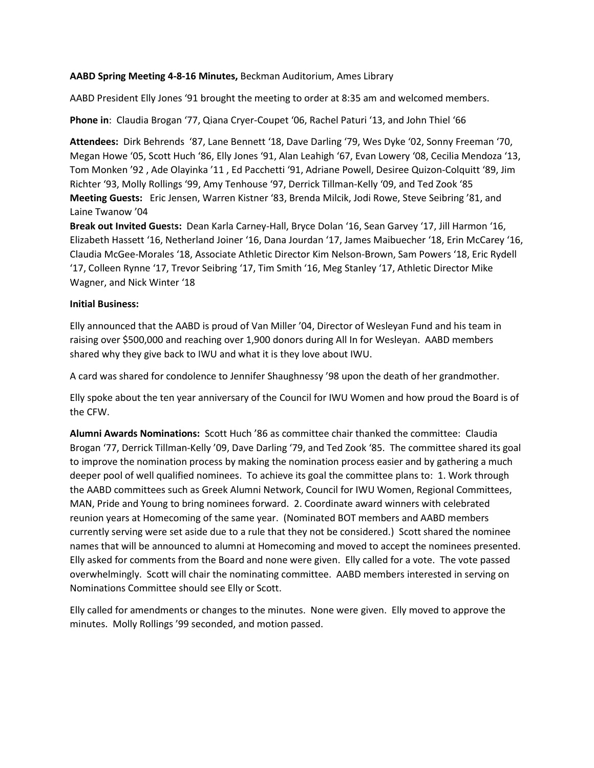#### **AABD Spring Meeting 4-8-16 Minutes,** Beckman Auditorium, Ames Library

AABD President Elly Jones '91 brought the meeting to order at 8:35 am and welcomed members.

**Phone in**: Claudia Brogan '77, Qiana Cryer-Coupet '06, Rachel Paturi '13, and John Thiel '66

**Attendees:** Dirk Behrends '87, Lane Bennett '18, Dave Darling '79, Wes Dyke '02, Sonny Freeman '70, Megan Howe '05, Scott Huch '86, Elly Jones '91, Alan Leahigh '67, Evan Lowery '08, Cecilia Mendoza '13, Tom Monken '92 , Ade Olayinka '11 , Ed Pacchetti '91, Adriane Powell, Desiree Quizon-Colquitt '89, Jim Richter '93, Molly Rollings '99, Amy Tenhouse '97, Derrick Tillman-Kelly '09, and Ted Zook '85 **Meeting Guests:** Eric Jensen, Warren Kistner '83, Brenda Milcik, Jodi Rowe, Steve Seibring '81, and Laine Twanow '04

**Break out Invited Gues**t**s:** Dean Karla Carney-Hall, Bryce Dolan '16, Sean Garvey '17, Jill Harmon '16, Elizabeth Hassett '16, Netherland Joiner '16, Dana Jourdan '17, James Maibuecher '18, Erin McCarey '16, Claudia McGee-Morales '18, Associate Athletic Director Kim Nelson-Brown, Sam Powers '18, Eric Rydell '17, Colleen Rynne '17, Trevor Seibring '17, Tim Smith '16, Meg Stanley '17, Athletic Director Mike Wagner, and Nick Winter '18

#### **Initial Business:**

Elly announced that the AABD is proud of Van Miller '04, Director of Wesleyan Fund and his team in raising over \$500,000 and reaching over 1,900 donors during All In for Wesleyan. AABD members shared why they give back to IWU and what it is they love about IWU.

A card was shared for condolence to Jennifer Shaughnessy '98 upon the death of her grandmother.

Elly spoke about the ten year anniversary of the Council for IWU Women and how proud the Board is of the CFW.

**Alumni Awards Nominations:** Scott Huch '86 as committee chair thanked the committee: Claudia Brogan '77, Derrick Tillman-Kelly '09, Dave Darling '79, and Ted Zook '85. The committee shared its goal to improve the nomination process by making the nomination process easier and by gathering a much deeper pool of well qualified nominees. To achieve its goal the committee plans to: 1. Work through the AABD committees such as Greek Alumni Network, Council for IWU Women, Regional Committees, MAN, Pride and Young to bring nominees forward. 2. Coordinate award winners with celebrated reunion years at Homecoming of the same year. (Nominated BOT members and AABD members currently serving were set aside due to a rule that they not be considered.) Scott shared the nominee names that will be announced to alumni at Homecoming and moved to accept the nominees presented. Elly asked for comments from the Board and none were given. Elly called for a vote. The vote passed overwhelmingly. Scott will chair the nominating committee. AABD members interested in serving on Nominations Committee should see Elly or Scott.

Elly called for amendments or changes to the minutes. None were given. Elly moved to approve the minutes. Molly Rollings '99 seconded, and motion passed.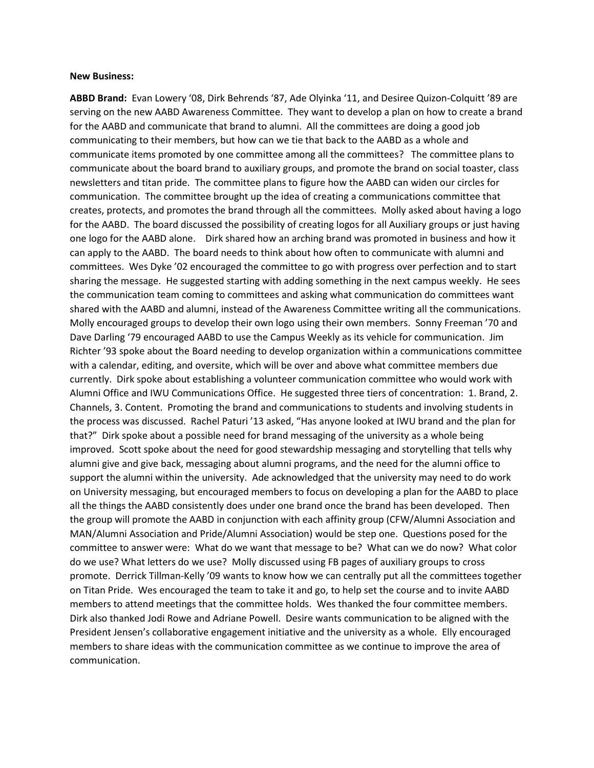#### **New Business:**

**ABBD Brand:** Evan Lowery '08, Dirk Behrends '87, Ade Olyinka '11, and Desiree Quizon-Colquitt '89 are serving on the new AABD Awareness Committee. They want to develop a plan on how to create a brand for the AABD and communicate that brand to alumni. All the committees are doing a good job communicating to their members, but how can we tie that back to the AABD as a whole and communicate items promoted by one committee among all the committees? The committee plans to communicate about the board brand to auxiliary groups, and promote the brand on social toaster, class newsletters and titan pride. The committee plans to figure how the AABD can widen our circles for communication. The committee brought up the idea of creating a communications committee that creates, protects, and promotes the brand through all the committees. Molly asked about having a logo for the AABD. The board discussed the possibility of creating logos for all Auxiliary groups or just having one logo for the AABD alone. Dirk shared how an arching brand was promoted in business and how it can apply to the AABD. The board needs to think about how often to communicate with alumni and committees. Wes Dyke '02 encouraged the committee to go with progress over perfection and to start sharing the message. He suggested starting with adding something in the next campus weekly. He sees the communication team coming to committees and asking what communication do committees want shared with the AABD and alumni, instead of the Awareness Committee writing all the communications. Molly encouraged groups to develop their own logo using their own members. Sonny Freeman '70 and Dave Darling '79 encouraged AABD to use the Campus Weekly as its vehicle for communication. Jim Richter '93 spoke about the Board needing to develop organization within a communications committee with a calendar, editing, and oversite, which will be over and above what committee members due currently. Dirk spoke about establishing a volunteer communication committee who would work with Alumni Office and IWU Communications Office. He suggested three tiers of concentration: 1. Brand, 2. Channels, 3. Content. Promoting the brand and communications to students and involving students in the process was discussed. Rachel Paturi '13 asked, "Has anyone looked at IWU brand and the plan for that?" Dirk spoke about a possible need for brand messaging of the university as a whole being improved. Scott spoke about the need for good stewardship messaging and storytelling that tells why alumni give and give back, messaging about alumni programs, and the need for the alumni office to support the alumni within the university. Ade acknowledged that the university may need to do work on University messaging, but encouraged members to focus on developing a plan for the AABD to place all the things the AABD consistently does under one brand once the brand has been developed. Then the group will promote the AABD in conjunction with each affinity group (CFW/Alumni Association and MAN/Alumni Association and Pride/Alumni Association) would be step one. Questions posed for the committee to answer were: What do we want that message to be? What can we do now? What color do we use? What letters do we use? Molly discussed using FB pages of auxiliary groups to cross promote. Derrick Tillman-Kelly '09 wants to know how we can centrally put all the committees together on Titan Pride. Wes encouraged the team to take it and go, to help set the course and to invite AABD members to attend meetings that the committee holds. Wes thanked the four committee members. Dirk also thanked Jodi Rowe and Adriane Powell. Desire wants communication to be aligned with the President Jensen's collaborative engagement initiative and the university as a whole. Elly encouraged members to share ideas with the communication committee as we continue to improve the area of communication.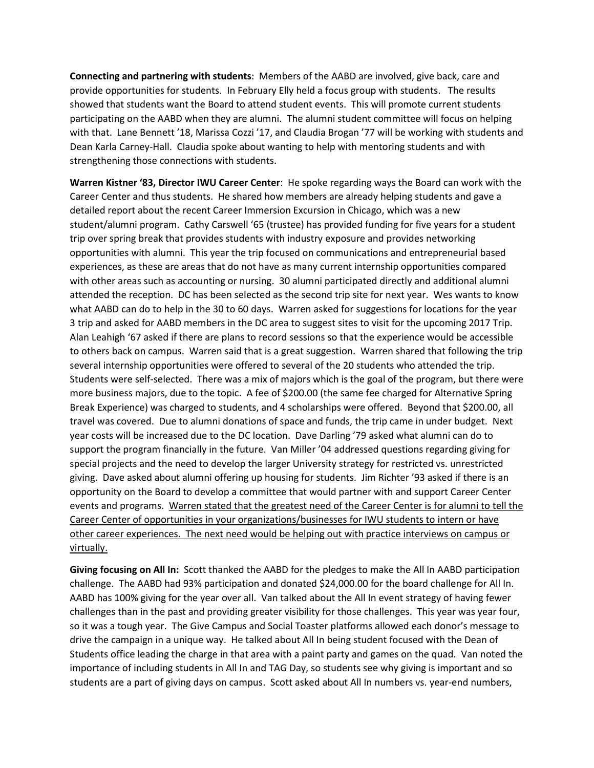**Connecting and partnering with students**: Members of the AABD are involved, give back, care and provide opportunities for students. In February Elly held a focus group with students. The results showed that students want the Board to attend student events. This will promote current students participating on the AABD when they are alumni. The alumni student committee will focus on helping with that. Lane Bennett '18, Marissa Cozzi '17, and Claudia Brogan '77 will be working with students and Dean Karla Carney-Hall. Claudia spoke about wanting to help with mentoring students and with strengthening those connections with students.

**Warren Kistner '83, Director IWU Career Center**: He spoke regarding ways the Board can work with the Career Center and thus students. He shared how members are already helping students and gave a detailed report about the recent Career Immersion Excursion in Chicago, which was a new student/alumni program. Cathy Carswell '65 (trustee) has provided funding for five years for a student trip over spring break that provides students with industry exposure and provides networking opportunities with alumni. This year the trip focused on communications and entrepreneurial based experiences, as these are areas that do not have as many current internship opportunities compared with other areas such as accounting or nursing. 30 alumni participated directly and additional alumni attended the reception. DC has been selected as the second trip site for next year. Wes wants to know what AABD can do to help in the 30 to 60 days. Warren asked for suggestions for locations for the year 3 trip and asked for AABD members in the DC area to suggest sites to visit for the upcoming 2017 Trip. Alan Leahigh '67 asked if there are plans to record sessions so that the experience would be accessible to others back on campus. Warren said that is a great suggestion. Warren shared that following the trip several internship opportunities were offered to several of the 20 students who attended the trip. Students were self-selected. There was a mix of majors which is the goal of the program, but there were more business majors, due to the topic. A fee of \$200.00 (the same fee charged for Alternative Spring Break Experience) was charged to students, and 4 scholarships were offered. Beyond that \$200.00, all travel was covered. Due to alumni donations of space and funds, the trip came in under budget. Next year costs will be increased due to the DC location. Dave Darling '79 asked what alumni can do to support the program financially in the future. Van Miller '04 addressed questions regarding giving for special projects and the need to develop the larger University strategy for restricted vs. unrestricted giving. Dave asked about alumni offering up housing for students. Jim Richter '93 asked if there is an opportunity on the Board to develop a committee that would partner with and support Career Center events and programs. Warren stated that the greatest need of the Career Center is for alumni to tell the Career Center of opportunities in your organizations/businesses for IWU students to intern or have other career experiences. The next need would be helping out with practice interviews on campus or virtually.

**Giving focusing on All In:** Scott thanked the AABD for the pledges to make the All In AABD participation challenge. The AABD had 93% participation and donated \$24,000.00 for the board challenge for All In. AABD has 100% giving for the year over all. Van talked about the All In event strategy of having fewer challenges than in the past and providing greater visibility for those challenges. This year was year four, so it was a tough year. The Give Campus and Social Toaster platforms allowed each donor's message to drive the campaign in a unique way. He talked about All In being student focused with the Dean of Students office leading the charge in that area with a paint party and games on the quad. Van noted the importance of including students in All In and TAG Day, so students see why giving is important and so students are a part of giving days on campus. Scott asked about All In numbers vs. year-end numbers,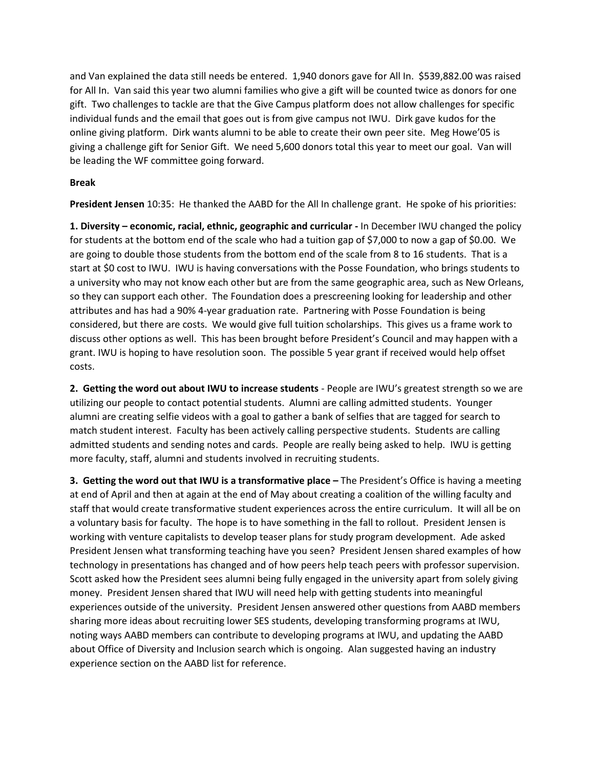and Van explained the data still needs be entered. 1,940 donors gave for All In. \$539,882.00 was raised for All In. Van said this year two alumni families who give a gift will be counted twice as donors for one gift. Two challenges to tackle are that the Give Campus platform does not allow challenges for specific individual funds and the email that goes out is from give campus not IWU. Dirk gave kudos for the online giving platform. Dirk wants alumni to be able to create their own peer site. Meg Howe'05 is giving a challenge gift for Senior Gift. We need 5,600 donors total this year to meet our goal. Van will be leading the WF committee going forward.

#### **Break**

**President Jensen** 10:35: He thanked the AABD for the All In challenge grant. He spoke of his priorities:

**1. Diversity – economic, racial, ethnic, geographic and curricular -** In December IWU changed the policy for students at the bottom end of the scale who had a tuition gap of \$7,000 to now a gap of \$0.00. We are going to double those students from the bottom end of the scale from 8 to 16 students. That is a start at \$0 cost to IWU. IWU is having conversations with the Posse Foundation, who brings students to a university who may not know each other but are from the same geographic area, such as New Orleans, so they can support each other. The Foundation does a prescreening looking for leadership and other attributes and has had a 90% 4-year graduation rate. Partnering with Posse Foundation is being considered, but there are costs. We would give full tuition scholarships. This gives us a frame work to discuss other options as well. This has been brought before President's Council and may happen with a grant. IWU is hoping to have resolution soon. The possible 5 year grant if received would help offset costs.

**2. Getting the word out about IWU to increase students** - People are IWU's greatest strength so we are utilizing our people to contact potential students. Alumni are calling admitted students. Younger alumni are creating selfie videos with a goal to gather a bank of selfies that are tagged for search to match student interest. Faculty has been actively calling perspective students. Students are calling admitted students and sending notes and cards. People are really being asked to help. IWU is getting more faculty, staff, alumni and students involved in recruiting students.

**3. Getting the word out that IWU is a transformative place –** The President's Office is having a meeting at end of April and then at again at the end of May about creating a coalition of the willing faculty and staff that would create transformative student experiences across the entire curriculum. It will all be on a voluntary basis for faculty. The hope is to have something in the fall to rollout. President Jensen is working with venture capitalists to develop teaser plans for study program development. Ade asked President Jensen what transforming teaching have you seen? President Jensen shared examples of how technology in presentations has changed and of how peers help teach peers with professor supervision. Scott asked how the President sees alumni being fully engaged in the university apart from solely giving money. President Jensen shared that IWU will need help with getting students into meaningful experiences outside of the university. President Jensen answered other questions from AABD members sharing more ideas about recruiting lower SES students, developing transforming programs at IWU, noting ways AABD members can contribute to developing programs at IWU, and updating the AABD about Office of Diversity and Inclusion search which is ongoing. Alan suggested having an industry experience section on the AABD list for reference.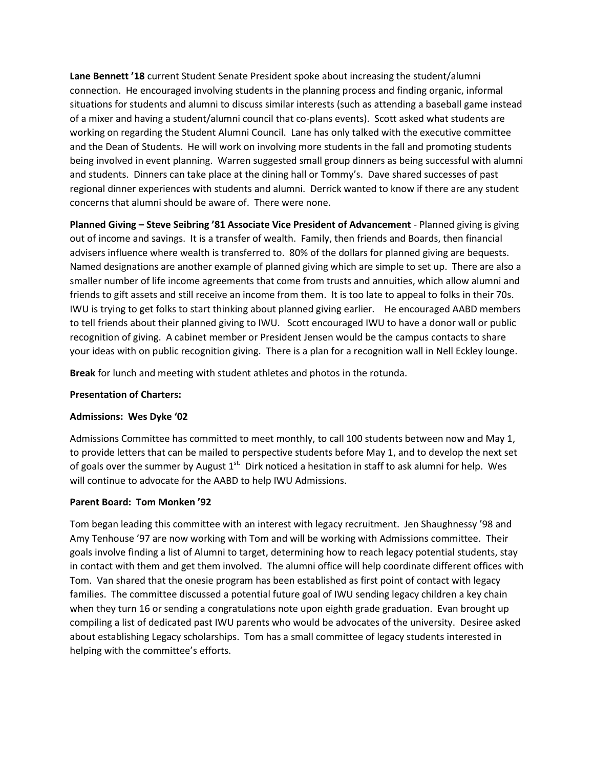**Lane Bennett '18** current Student Senate President spoke about increasing the student/alumni connection. He encouraged involving students in the planning process and finding organic, informal situations for students and alumni to discuss similar interests (such as attending a baseball game instead of a mixer and having a student/alumni council that co-plans events). Scott asked what students are working on regarding the Student Alumni Council. Lane has only talked with the executive committee and the Dean of Students. He will work on involving more students in the fall and promoting students being involved in event planning. Warren suggested small group dinners as being successful with alumni and students. Dinners can take place at the dining hall or Tommy's. Dave shared successes of past regional dinner experiences with students and alumni. Derrick wanted to know if there are any student concerns that alumni should be aware of. There were none.

**Planned Giving – Steve Seibring '81 Associate Vice President of Advancement** - Planned giving is giving out of income and savings. It is a transfer of wealth. Family, then friends and Boards, then financial advisers influence where wealth is transferred to. 80% of the dollars for planned giving are bequests. Named designations are another example of planned giving which are simple to set up. There are also a smaller number of life income agreements that come from trusts and annuities, which allow alumni and friends to gift assets and still receive an income from them. It is too late to appeal to folks in their 70s. IWU is trying to get folks to start thinking about planned giving earlier. He encouraged AABD members to tell friends about their planned giving to IWU. Scott encouraged IWU to have a donor wall or public recognition of giving. A cabinet member or President Jensen would be the campus contacts to share your ideas with on public recognition giving. There is a plan for a recognition wall in Nell Eckley lounge.

**Break** for lunch and meeting with student athletes and photos in the rotunda.

#### **Presentation of Charters:**

#### **Admissions: Wes Dyke '02**

Admissions Committee has committed to meet monthly, to call 100 students between now and May 1, to provide letters that can be mailed to perspective students before May 1, and to develop the next set of goals over the summer by August  $1^{st}$ . Dirk noticed a hesitation in staff to ask alumni for help. Wes will continue to advocate for the AABD to help IWU Admissions.

#### **Parent Board: Tom Monken '92**

Tom began leading this committee with an interest with legacy recruitment. Jen Shaughnessy '98 and Amy Tenhouse '97 are now working with Tom and will be working with Admissions committee. Their goals involve finding a list of Alumni to target, determining how to reach legacy potential students, stay in contact with them and get them involved. The alumni office will help coordinate different offices with Tom. Van shared that the onesie program has been established as first point of contact with legacy families. The committee discussed a potential future goal of IWU sending legacy children a key chain when they turn 16 or sending a congratulations note upon eighth grade graduation. Evan brought up compiling a list of dedicated past IWU parents who would be advocates of the university. Desiree asked about establishing Legacy scholarships. Tom has a small committee of legacy students interested in helping with the committee's efforts.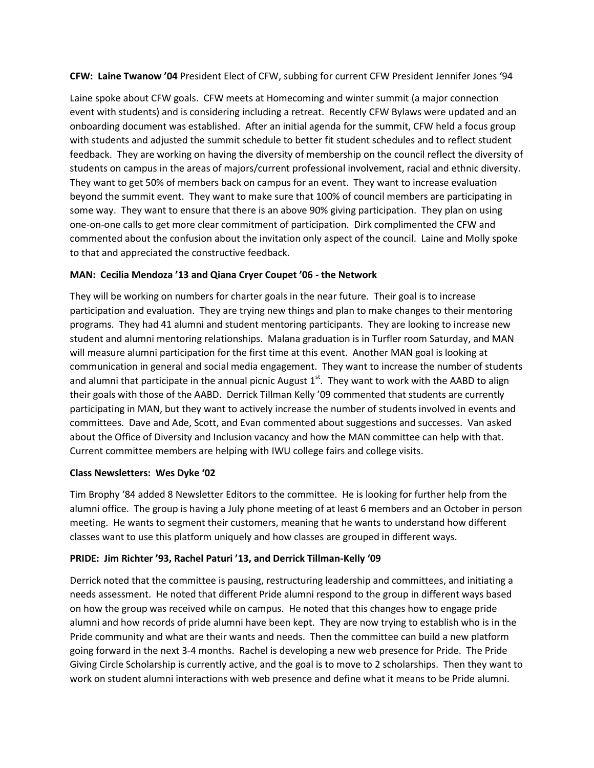**CFW: Laine Twanow '04** President Elect of CFW, subbing for current CFW President Jennifer Jones '94

Laine spoke about CFW goals. CFW meets at Homecoming and winter summit (a major connection event with students) and is considering including a retreat. Recently CFW Bylaws were updated and an onboarding document was established. After an initial agenda for the summit, CFW held a focus group with students and adjusted the summit schedule to better fit student schedules and to reflect student feedback. They are working on having the diversity of membership on the council reflect the diversity of students on campus in the areas of majors/current professional involvement, racial and ethnic diversity. They want to get 50% of members back on campus for an event. They want to increase evaluation beyond the summit event. They want to make sure that 100% of council members are participating in some way. They want to ensure that there is an above 90% giving participation. They plan on using one-on-one calls to get more clear commitment of participation. Dirk complimented the CFW and commented about the confusion about the invitation only aspect of the council. Laine and Molly spoke to that and appreciated the constructive feedback.

# **MAN: Cecilia Mendoza '13 and Qiana Cryer Coupet '06 - the Network**

They will be working on numbers for charter goals in the near future. Their goal is to increase participation and evaluation. They are trying new things and plan to make changes to their mentoring programs. They had 41 alumni and student mentoring participants. They are looking to increase new student and alumni mentoring relationships. Malana graduation is in Turfler room Saturday, and MAN will measure alumni participation for the first time at this event. Another MAN goal is looking at communication in general and social media engagement. They want to increase the number of students and alumni that participate in the annual picnic August  $1<sup>st</sup>$ . They want to work with the AABD to align their goals with those of the AABD. Derrick Tillman Kelly '09 commented that students are currently participating in MAN, but they want to actively increase the number of students involved in events and committees. Dave and Ade, Scott, and Evan commented about suggestions and successes. Van asked about the Office of Diversity and Inclusion vacancy and how the MAN committee can help with that. Current committee members are helping with IWU college fairs and college visits.

# **Class Newsletters: Wes Dyke '02**

Tim Brophy '84 added 8 Newsletter Editors to the committee. He is looking for further help from the alumni office. The group is having a July phone meeting of at least 6 members and an October in person meeting. He wants to segment their customers, meaning that he wants to understand how different classes want to use this platform uniquely and how classes are grouped in different ways.

# **PRIDE: Jim Richter '93, Rachel Paturi '13, and Derrick Tillman-Kelly '09**

Derrick noted that the committee is pausing, restructuring leadership and committees, and initiating a needs assessment. He noted that different Pride alumni respond to the group in different ways based on how the group was received while on campus. He noted that this changes how to engage pride alumni and how records of pride alumni have been kept. They are now trying to establish who is in the Pride community and what are their wants and needs. Then the committee can build a new platform going forward in the next 3-4 months. Rachel is developing a new web presence for Pride. The Pride Giving Circle Scholarship is currently active, and the goal is to move to 2 scholarships. Then they want to work on student alumni interactions with web presence and define what it means to be Pride alumni.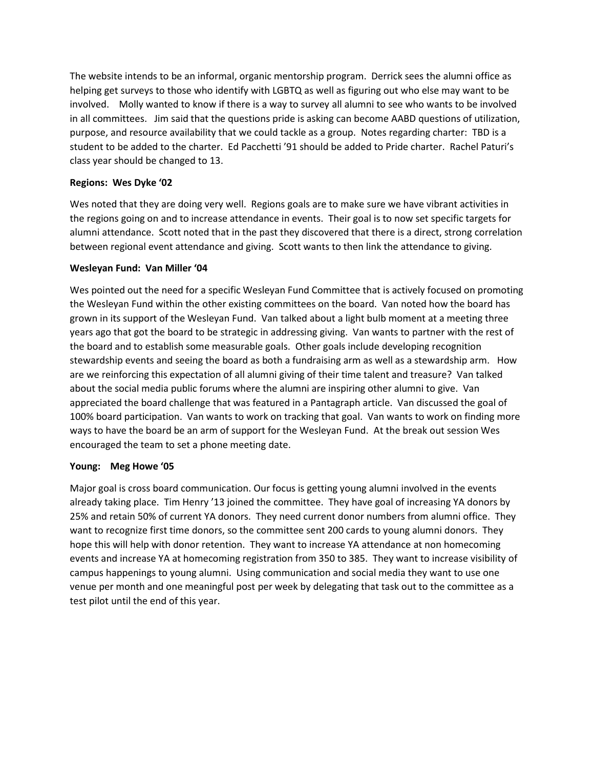The website intends to be an informal, organic mentorship program. Derrick sees the alumni office as helping get surveys to those who identify with LGBTQ as well as figuring out who else may want to be involved. Molly wanted to know if there is a way to survey all alumni to see who wants to be involved in all committees. Jim said that the questions pride is asking can become AABD questions of utilization, purpose, and resource availability that we could tackle as a group. Notes regarding charter: TBD is a student to be added to the charter. Ed Pacchetti '91 should be added to Pride charter. Rachel Paturi's class year should be changed to 13.

### **Regions: Wes Dyke '02**

Wes noted that they are doing very well. Regions goals are to make sure we have vibrant activities in the regions going on and to increase attendance in events. Their goal is to now set specific targets for alumni attendance. Scott noted that in the past they discovered that there is a direct, strong correlation between regional event attendance and giving. Scott wants to then link the attendance to giving.

#### **Wesleyan Fund: Van Miller '04**

Wes pointed out the need for a specific Wesleyan Fund Committee that is actively focused on promoting the Wesleyan Fund within the other existing committees on the board. Van noted how the board has grown in its support of the Wesleyan Fund. Van talked about a light bulb moment at a meeting three years ago that got the board to be strategic in addressing giving. Van wants to partner with the rest of the board and to establish some measurable goals. Other goals include developing recognition stewardship events and seeing the board as both a fundraising arm as well as a stewardship arm. How are we reinforcing this expectation of all alumni giving of their time talent and treasure? Van talked about the social media public forums where the alumni are inspiring other alumni to give. Van appreciated the board challenge that was featured in a Pantagraph article. Van discussed the goal of 100% board participation. Van wants to work on tracking that goal. Van wants to work on finding more ways to have the board be an arm of support for the Wesleyan Fund. At the break out session Wes encouraged the team to set a phone meeting date.

# **Young: Meg Howe '05**

Major goal is cross board communication. Our focus is getting young alumni involved in the events already taking place. Tim Henry '13 joined the committee. They have goal of increasing YA donors by 25% and retain 50% of current YA donors. They need current donor numbers from alumni office. They want to recognize first time donors, so the committee sent 200 cards to young alumni donors. They hope this will help with donor retention. They want to increase YA attendance at non homecoming events and increase YA at homecoming registration from 350 to 385. They want to increase visibility of campus happenings to young alumni. Using communication and social media they want to use one venue per month and one meaningful post per week by delegating that task out to the committee as a test pilot until the end of this year.